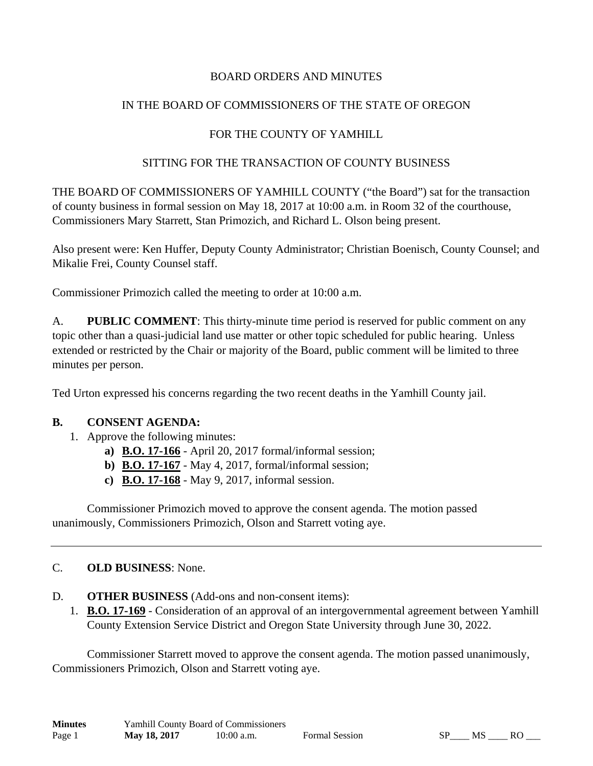### BOARD ORDERS AND MINUTES

# IN THE BOARD OF COMMISSIONERS OF THE STATE OF OREGON

# FOR THE COUNTY OF YAMHILL

### SITTING FOR THE TRANSACTION OF COUNTY BUSINESS

THE BOARD OF COMMISSIONERS OF YAMHILL COUNTY ("the Board") sat for the transaction of county business in formal session on May 18, 2017 at 10:00 a.m. in Room 32 of the courthouse, Commissioners Mary Starrett, Stan Primozich, and Richard L. Olson being present.

Also present were: Ken Huffer, Deputy County Administrator; Christian Boenisch, County Counsel; and Mikalie Frei, County Counsel staff.

Commissioner Primozich called the meeting to order at 10:00 a.m.

A. **PUBLIC COMMENT**: This thirty-minute time period is reserved for public comment on any topic other than a quasi-judicial land use matter or other topic scheduled for public hearing. Unless extended or restricted by the Chair or majority of the Board, public comment will be limited to three minutes per person.

Ted Urton expressed his concerns regarding the two recent deaths in the Yamhill County jail.

### **B. CONSENT AGENDA:**

- 1. Approve the following minutes:
	- **a) B.O. 17-166** April 20, 2017 formal/informal session;
	- **b) B.O. 17-167** May 4, 2017, formal/informal session;
	- **c) B.O. 17-168** May 9, 2017, informal session.

 Commissioner Primozich moved to approve the consent agenda. The motion passed unanimously, Commissioners Primozich, Olson and Starrett voting aye.

### C. **OLD BUSINESS**: None.

- D. **OTHER BUSINESS** (Add-ons and non-consent items):
	- 1. **B.O. 17-169** Consideration of an approval of an intergovernmental agreement between Yamhill County Extension Service District and Oregon State University through June 30, 2022.

 Commissioner Starrett moved to approve the consent agenda. The motion passed unanimously, Commissioners Primozich, Olson and Starrett voting aye.

| <b>Minutes</b> | Yamhill County Board of Commissioners |              |  |
|----------------|---------------------------------------|--------------|--|
| Page 1         | May 18, 2017                          | $10:00$ a.m. |  |

```
Page 1 May 18, 2018 10:00 a.m. Formal Session SP____ MS ____ RO ____
```